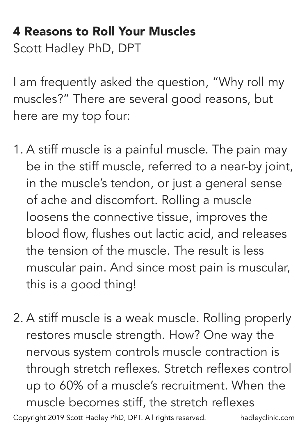## 4 Reasons to Roll Your Muscles Scott Hadley PhD, DPT

I am frequently asked the question, "Why roll my muscles?" There are several good reasons, but here are my top four:

- 1. A stiff muscle is a painful muscle. The pain may be in the stiff muscle, referred to a near-by joint, in the muscle's tendon, or just a general sense of ache and discomfort. Rolling a muscle loosens the connective tissue, improves the blood flow, flushes out lactic acid, and releases the tension of the muscle. The result is less muscular pain. And since most pain is muscular, this is a good thing!
- 2. A stiff muscle is a weak muscle. Rolling properly restores muscle strength. How? One way the nervous system controls muscle contraction is through stretch reflexes. Stretch reflexes control up to 60% of a muscle's recruitment. When the muscle becomes stiff, the stretch reflexes Copyright 2019 Scott Hadley PhD, DPT. All rights reserved. hadleyclinic.com